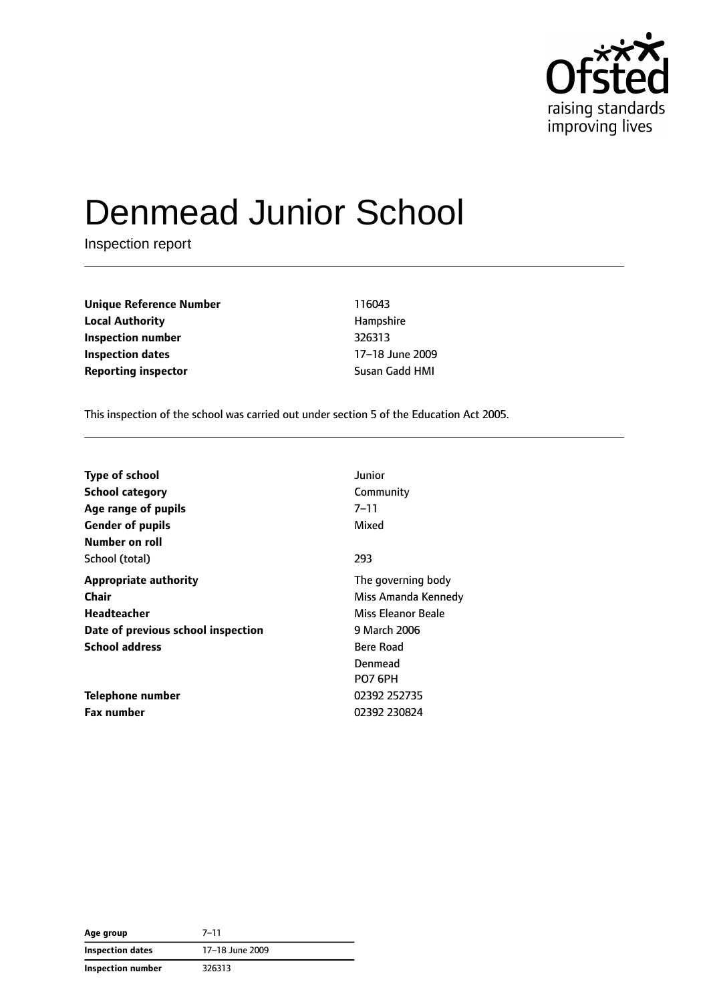

# Denmead Junior School

Inspection report

**Unique Reference Number** 116043 **Local Authority Hampshire Inspection number** 326313 **Inspection dates** 17–18 June 2009 **Reporting inspector Susan Gadd HMI** 

This inspection of the school was carried out under section 5 of the Education Act 2005.

| Type of school                            | Junior                                        |
|-------------------------------------------|-----------------------------------------------|
| <b>School category</b>                    | Community                                     |
| Age range of pupils                       | 7–11                                          |
| <b>Gender of pupils</b><br>Number on roll | Mixed                                         |
| School (total)                            | 293                                           |
| <b>Appropriate authority</b>              | The governing body                            |
| Chair                                     | Miss Amanda Kennedy                           |
| Headteacher                               | Miss Eleanor Beale                            |
| Date of previous school inspection        | 9 March 2006                                  |
| <b>School address</b>                     | <b>Bere Road</b><br>Denmead<br><b>PO7 6PH</b> |
| Telephone number                          | 02392 252735                                  |
| <b>Fax number</b>                         | 02392 230824                                  |

| Age group               | $7 - 11$        |
|-------------------------|-----------------|
| <b>Inspection dates</b> | 17-18 June 2009 |
| Inspection number       | 326313          |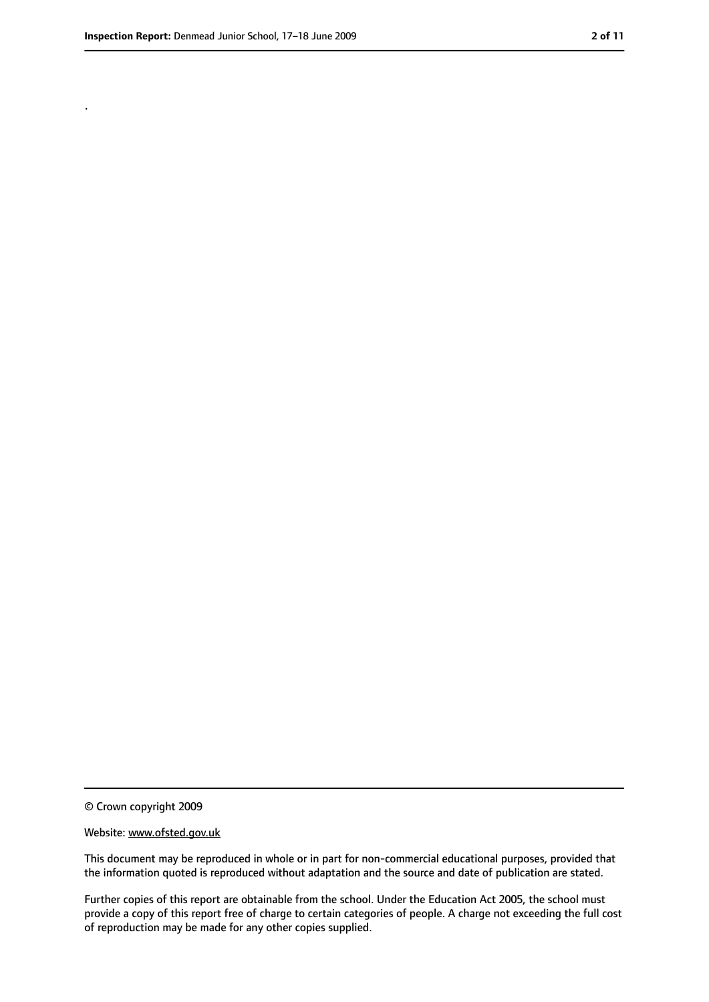.

<sup>©</sup> Crown copyright 2009

Website: www.ofsted.gov.uk

This document may be reproduced in whole or in part for non-commercial educational purposes, provided that the information quoted is reproduced without adaptation and the source and date of publication are stated.

Further copies of this report are obtainable from the school. Under the Education Act 2005, the school must provide a copy of this report free of charge to certain categories of people. A charge not exceeding the full cost of reproduction may be made for any other copies supplied.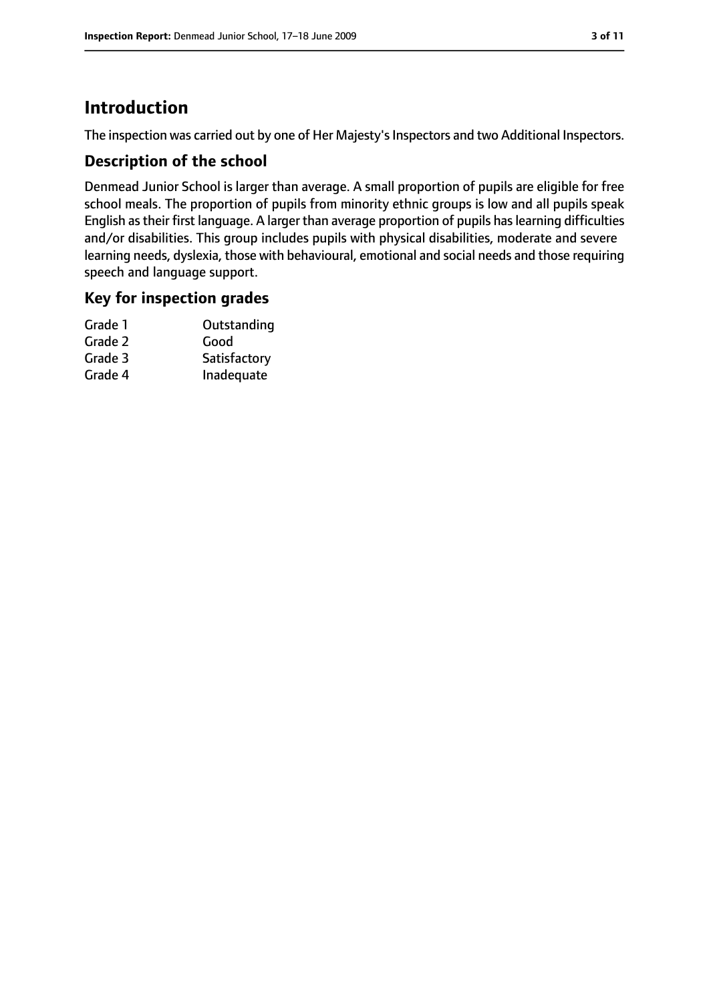# **Introduction**

The inspection was carried out by one of Her Majesty's Inspectors and two Additional Inspectors.

## **Description of the school**

Denmead Junior School is larger than average. A small proportion of pupils are eligible for free school meals. The proportion of pupils from minority ethnic groups is low and all pupils speak English astheir first language. A larger than average proportion of pupils haslearning difficulties and/or disabilities. This group includes pupils with physical disabilities, moderate and severe learning needs, dyslexia, those with behavioural, emotional and social needs and those requiring speech and language support.

## **Key for inspection grades**

| Grade 1 | Outstanding  |
|---------|--------------|
| Grade 2 | Good         |
| Grade 3 | Satisfactory |
| Grade 4 | Inadequate   |
|         |              |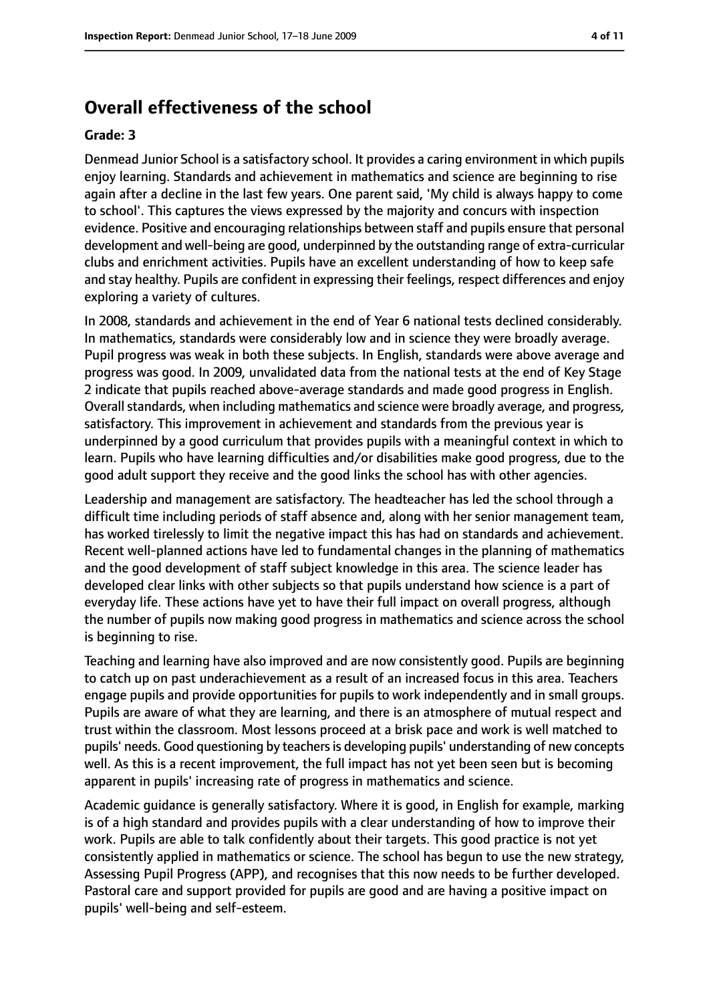# **Overall effectiveness of the school**

#### **Grade: 3**

Denmead Junior School is a satisfactory school. It provides a caring environment in which pupils enjoy learning. Standards and achievement in mathematics and science are beginning to rise again after a decline in the last few years. One parent said, 'My child is always happy to come to school'. This captures the views expressed by the majority and concurs with inspection evidence. Positive and encouraging relationships between staff and pupils ensure that personal development and well-being are good, underpinned by the outstanding range of extra-curricular clubs and enrichment activities. Pupils have an excellent understanding of how to keep safe and stay healthy. Pupils are confident in expressing their feelings, respect differences and enjoy exploring a variety of cultures.

In 2008, standards and achievement in the end of Year 6 national tests declined considerably. In mathematics, standards were considerably low and in science they were broadly average. Pupil progress was weak in both these subjects. In English, standards were above average and progress was good. In 2009, unvalidated data from the national tests at the end of Key Stage 2 indicate that pupils reached above-average standards and made good progress in English. Overall standards, when including mathematics and science were broadly average, and progress, satisfactory. This improvement in achievement and standards from the previous year is underpinned by a good curriculum that provides pupils with a meaningful context in which to learn. Pupils who have learning difficulties and/or disabilities make good progress, due to the good adult support they receive and the good links the school has with other agencies.

Leadership and management are satisfactory. The headteacher has led the school through a difficult time including periods of staff absence and, along with her senior management team, has worked tirelessly to limit the negative impact this has had on standards and achievement. Recent well-planned actions have led to fundamental changes in the planning of mathematics and the good development of staff subject knowledge in this area. The science leader has developed clear links with other subjects so that pupils understand how science is a part of everyday life. These actions have yet to have their full impact on overall progress, although the number of pupils now making good progress in mathematics and science across the school is beginning to rise.

Teaching and learning have also improved and are now consistently good. Pupils are beginning to catch up on past underachievement as a result of an increased focus in this area. Teachers engage pupils and provide opportunities for pupils to work independently and in small groups. Pupils are aware of what they are learning, and there is an atmosphere of mutual respect and trust within the classroom. Most lessons proceed at a brisk pace and work is well matched to pupils' needs. Good questioning by teachers is developing pupils' understanding of new concepts well. As this is a recent improvement, the full impact has not yet been seen but is becoming apparent in pupils' increasing rate of progress in mathematics and science.

Academic guidance is generally satisfactory. Where it is good, in English for example, marking is of a high standard and provides pupils with a clear understanding of how to improve their work. Pupils are able to talk confidently about their targets. This good practice is not yet consistently applied in mathematics or science. The school has begun to use the new strategy, Assessing Pupil Progress (APP), and recognises that this now needs to be further developed. Pastoral care and support provided for pupils are good and are having a positive impact on pupils' well-being and self-esteem.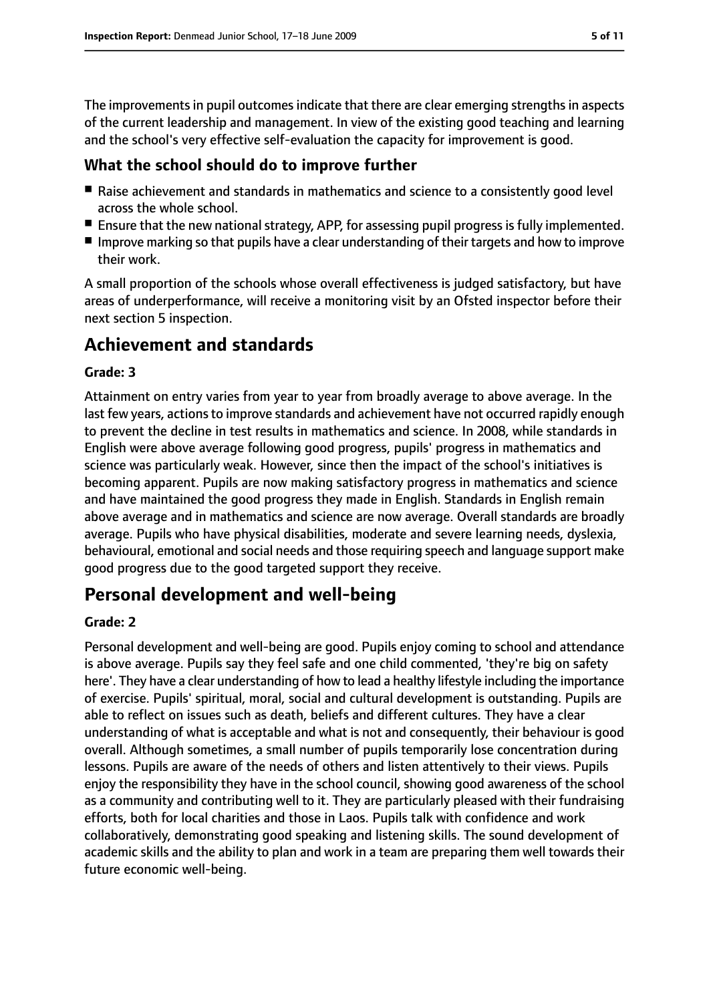The improvements in pupil outcomes indicate that there are clear emerging strengths in aspects of the current leadership and management. In view of the existing good teaching and learning and the school's very effective self-evaluation the capacity for improvement is good.

## **What the school should do to improve further**

- Raise achievement and standards in mathematics and science to a consistently good level across the whole school.
- Ensure that the new national strategy, APP, for assessing pupil progress is fully implemented.
- Improve marking so that pupils have a clear understanding of their targets and how to improve their work.

A small proportion of the schools whose overall effectiveness is judged satisfactory, but have areas of underperformance, will receive a monitoring visit by an Ofsted inspector before their next section 5 inspection.

# **Achievement and standards**

#### **Grade: 3**

Attainment on entry varies from year to year from broadly average to above average. In the last few years, actionsto improve standards and achievement have not occurred rapidly enough to prevent the decline in test results in mathematics and science. In 2008, while standards in English were above average following good progress, pupils' progress in mathematics and science was particularly weak. However, since then the impact of the school's initiatives is becoming apparent. Pupils are now making satisfactory progress in mathematics and science and have maintained the good progress they made in English. Standards in English remain above average and in mathematics and science are now average. Overall standards are broadly average. Pupils who have physical disabilities, moderate and severe learning needs, dyslexia, behavioural, emotional and social needs and those requiring speech and language support make good progress due to the good targeted support they receive.

# **Personal development and well-being**

#### **Grade: 2**

Personal development and well-being are good. Pupils enjoy coming to school and attendance is above average. Pupils say they feel safe and one child commented, 'they're big on safety here'. They have a clear understanding of how to lead a healthy lifestyle including the importance of exercise. Pupils' spiritual, moral, social and cultural development is outstanding. Pupils are able to reflect on issues such as death, beliefs and different cultures. They have a clear understanding of what is acceptable and what is not and consequently, their behaviour is good overall. Although sometimes, a small number of pupils temporarily lose concentration during lessons. Pupils are aware of the needs of others and listen attentively to their views. Pupils enjoy the responsibility they have in the school council, showing good awareness of the school as a community and contributing well to it. They are particularly pleased with their fundraising efforts, both for local charities and those in Laos. Pupils talk with confidence and work collaboratively, demonstrating good speaking and listening skills. The sound development of academic skills and the ability to plan and work in a team are preparing them well towards their future economic well-being.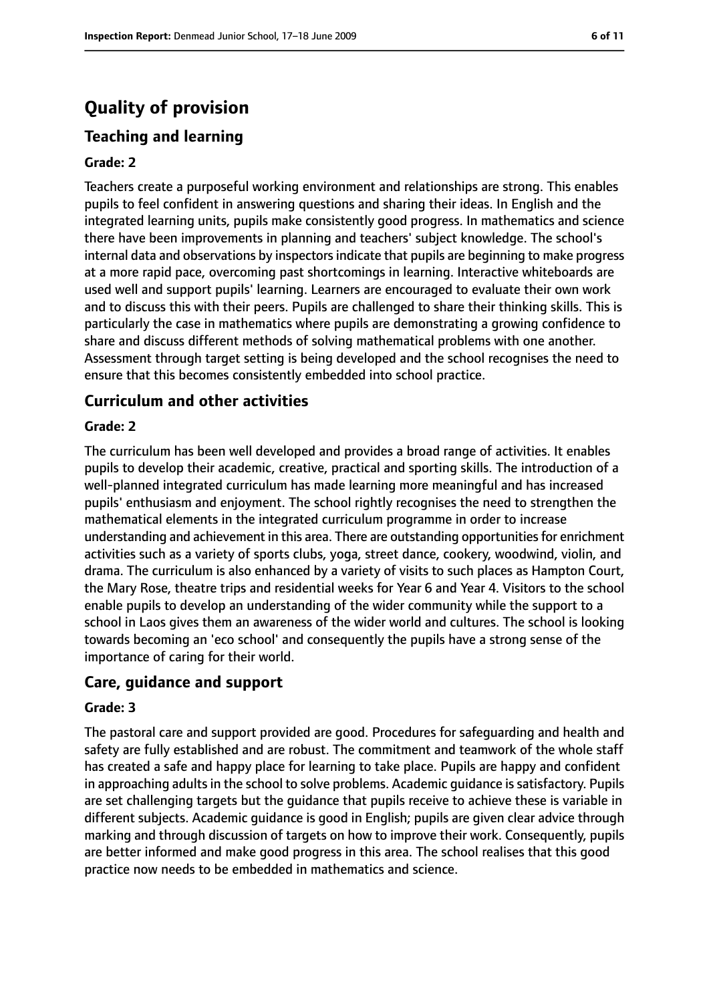# **Quality of provision**

# **Teaching and learning**

#### **Grade: 2**

Teachers create a purposeful working environment and relationships are strong. This enables pupils to feel confident in answering questions and sharing their ideas. In English and the integrated learning units, pupils make consistently good progress. In mathematics and science there have been improvements in planning and teachers' subject knowledge. The school's internal data and observations by inspectors indicate that pupils are beginning to make progress at a more rapid pace, overcoming past shortcomings in learning. Interactive whiteboards are used well and support pupils' learning. Learners are encouraged to evaluate their own work and to discuss this with their peers. Pupils are challenged to share their thinking skills. This is particularly the case in mathematics where pupils are demonstrating a growing confidence to share and discuss different methods of solving mathematical problems with one another. Assessment through target setting is being developed and the school recognises the need to ensure that this becomes consistently embedded into school practice.

#### **Curriculum and other activities**

#### **Grade: 2**

The curriculum has been well developed and provides a broad range of activities. It enables pupils to develop their academic, creative, practical and sporting skills. The introduction of a well-planned integrated curriculum has made learning more meaningful and has increased pupils' enthusiasm and enjoyment. The school rightly recognises the need to strengthen the mathematical elements in the integrated curriculum programme in order to increase understanding and achievement in this area. There are outstanding opportunitiesfor enrichment activities such as a variety of sports clubs, yoga, street dance, cookery, woodwind, violin, and drama. The curriculum is also enhanced by a variety of visits to such places as Hampton Court, the Mary Rose, theatre trips and residential weeks for Year 6 and Year 4. Visitors to the school enable pupils to develop an understanding of the wider community while the support to a school in Laos gives them an awareness of the wider world and cultures. The school is looking towards becoming an 'eco school' and consequently the pupils have a strong sense of the importance of caring for their world.

#### **Care, guidance and support**

#### **Grade: 3**

The pastoral care and support provided are good. Procedures for safeguarding and health and safety are fully established and are robust. The commitment and teamwork of the whole staff has created a safe and happy place for learning to take place. Pupils are happy and confident in approaching adults in the school to solve problems. Academic guidance is satisfactory. Pupils are set challenging targets but the guidance that pupils receive to achieve these is variable in different subjects. Academic guidance is good in English; pupils are given clear advice through marking and through discussion of targets on how to improve their work. Consequently, pupils are better informed and make good progress in this area. The school realises that this good practice now needs to be embedded in mathematics and science.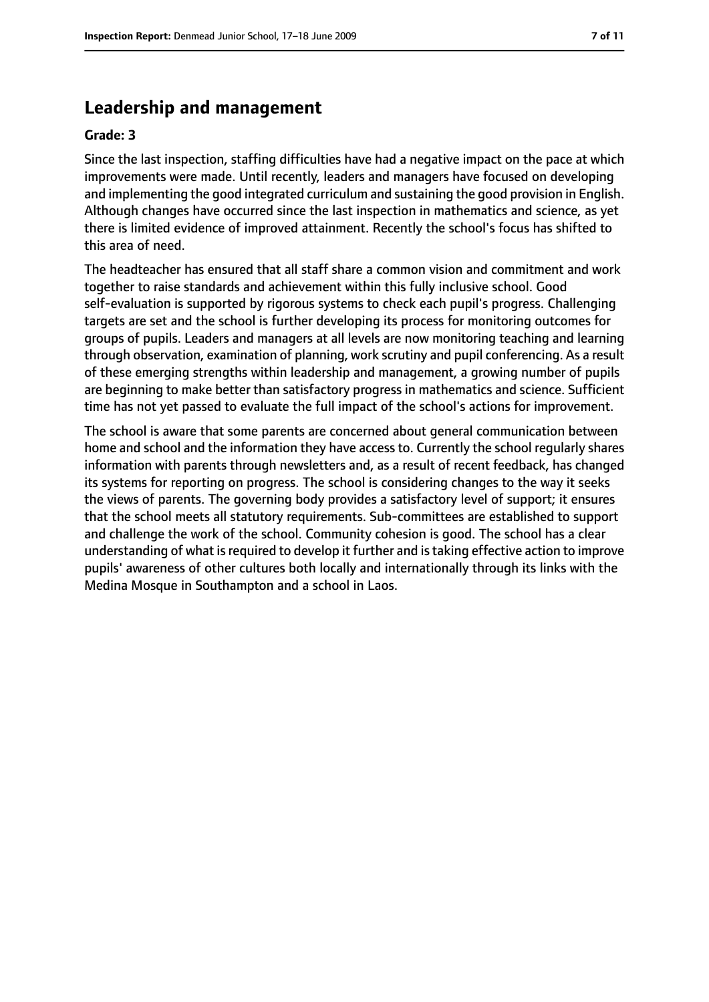# **Leadership and management**

#### **Grade: 3**

Since the last inspection, staffing difficulties have had a negative impact on the pace at which improvements were made. Until recently, leaders and managers have focused on developing and implementing the good integrated curriculum and sustaining the good provision in English. Although changes have occurred since the last inspection in mathematics and science, as yet there is limited evidence of improved attainment. Recently the school's focus has shifted to this area of need.

The headteacher has ensured that all staff share a common vision and commitment and work together to raise standards and achievement within this fully inclusive school. Good self-evaluation is supported by rigorous systems to check each pupil's progress. Challenging targets are set and the school is further developing its process for monitoring outcomes for groups of pupils. Leaders and managers at all levels are now monitoring teaching and learning through observation, examination of planning, work scrutiny and pupil conferencing. As a result of these emerging strengths within leadership and management, a growing number of pupils are beginning to make better than satisfactory progress in mathematics and science. Sufficient time has not yet passed to evaluate the full impact of the school's actions for improvement.

The school is aware that some parents are concerned about general communication between home and school and the information they have access to. Currently the school regularly shares information with parents through newsletters and, as a result of recent feedback, has changed its systems for reporting on progress. The school is considering changes to the way it seeks the views of parents. The governing body provides a satisfactory level of support; it ensures that the school meets all statutory requirements. Sub-committees are established to support and challenge the work of the school. Community cohesion is good. The school has a clear understanding of what is required to develop it further and is taking effective action to improve pupils' awareness of other cultures both locally and internationally through its links with the Medina Mosque in Southampton and a school in Laos.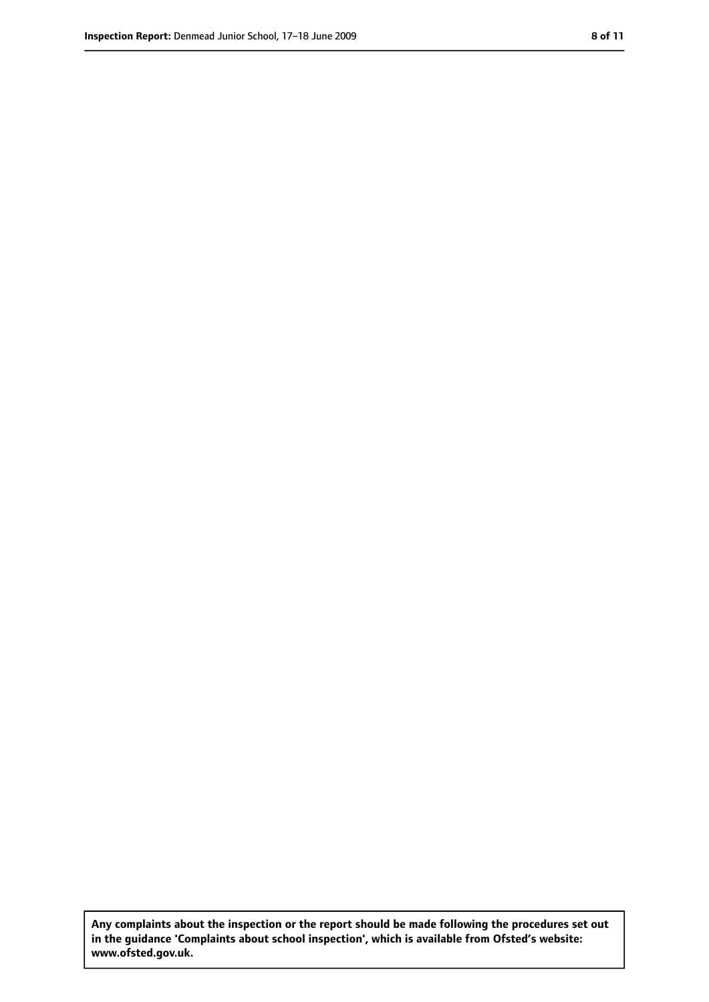**Any complaints about the inspection or the report should be made following the procedures set out in the guidance 'Complaints about school inspection', which is available from Ofsted's website: www.ofsted.gov.uk.**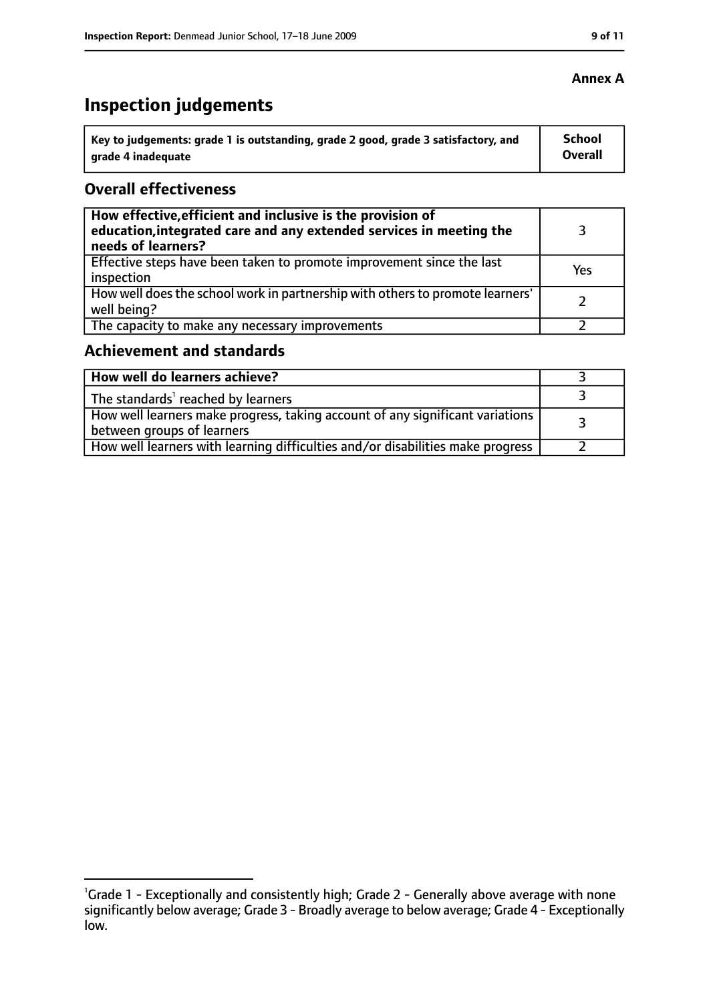# **Inspection judgements**

| ˈ Key to judgements: grade 1 is outstanding, grade 2 good, grade 3 satisfactory, and | School         |
|--------------------------------------------------------------------------------------|----------------|
| grade 4 inadequate                                                                   | <b>Overall</b> |

## **Overall effectiveness**

| How effective, efficient and inclusive is the provision of<br>education, integrated care and any extended services in meeting the<br>needs of learners? |     |
|---------------------------------------------------------------------------------------------------------------------------------------------------------|-----|
| Effective steps have been taken to promote improvement since the last<br>inspection                                                                     | Yes |
| How well does the school work in partnership with others to promote learners'<br>well being?                                                            |     |
| The capacity to make any necessary improvements                                                                                                         |     |

## **Achievement and standards**

| How well do learners achieve?                                                                               |  |
|-------------------------------------------------------------------------------------------------------------|--|
| The standards <sup>1</sup> reached by learners                                                              |  |
| How well learners make progress, taking account of any significant variations<br>between groups of learners |  |
| How well learners with learning difficulties and/or disabilities make progress                              |  |

## **Annex A**

<sup>&</sup>lt;sup>1</sup>Grade 1 - Exceptionally and consistently high; Grade 2 - Generally above average with none significantly below average; Grade 3 - Broadly average to below average; Grade 4 - Exceptionally low.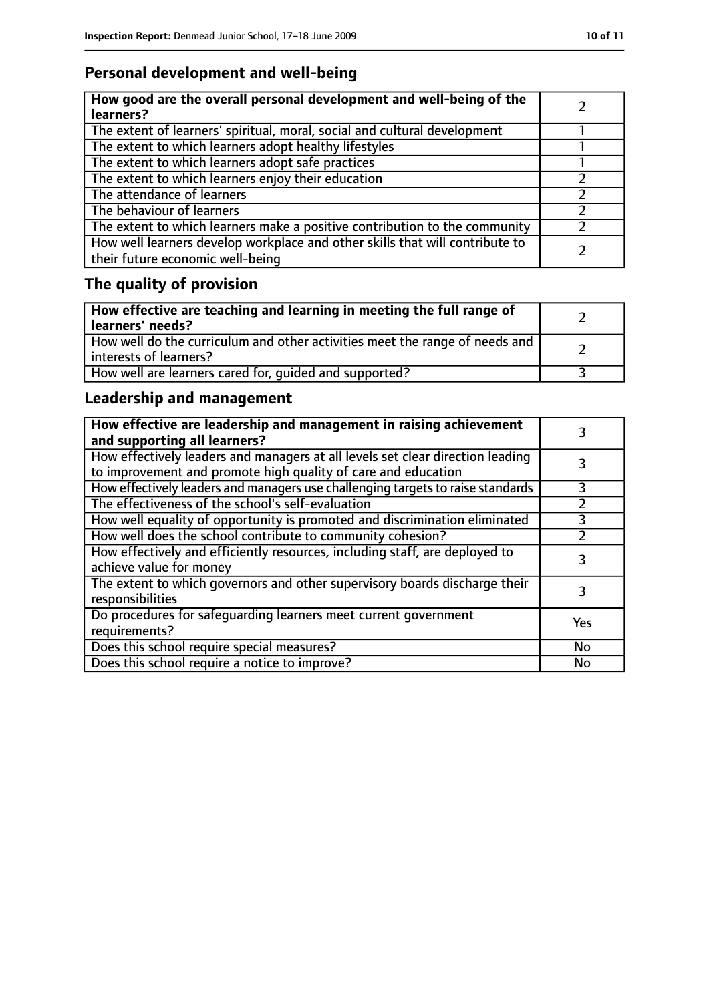# **Personal development and well-being**

| How good are the overall personal development and well-being of the<br>learners?                                 |  |
|------------------------------------------------------------------------------------------------------------------|--|
| The extent of learners' spiritual, moral, social and cultural development                                        |  |
| The extent to which learners adopt healthy lifestyles                                                            |  |
| The extent to which learners adopt safe practices                                                                |  |
| The extent to which learners enjoy their education                                                               |  |
| The attendance of learners                                                                                       |  |
| The behaviour of learners                                                                                        |  |
| The extent to which learners make a positive contribution to the community                                       |  |
| How well learners develop workplace and other skills that will contribute to<br>their future economic well-being |  |

# **The quality of provision**

| How effective are teaching and learning in meeting the full range of<br>learners' needs?              |  |
|-------------------------------------------------------------------------------------------------------|--|
| How well do the curriculum and other activities meet the range of needs and<br>interests of learners? |  |
| How well are learners cared for, quided and supported?                                                |  |

# **Leadership and management**

| How effective are leadership and management in raising achievement<br>and supporting all learners?                                              |               |
|-------------------------------------------------------------------------------------------------------------------------------------------------|---------------|
| How effectively leaders and managers at all levels set clear direction leading<br>to improvement and promote high quality of care and education |               |
| How effectively leaders and managers use challenging targets to raise standards                                                                 | 3             |
| The effectiveness of the school's self-evaluation                                                                                               | $\mathcal{P}$ |
| How well equality of opportunity is promoted and discrimination eliminated                                                                      | 3             |
| How well does the school contribute to community cohesion?                                                                                      |               |
| How effectively and efficiently resources, including staff, are deployed to<br>achieve value for money                                          |               |
| The extent to which governors and other supervisory boards discharge their<br>responsibilities                                                  | 3             |
| Do procedures for safequarding learners meet current government<br>requirements?                                                                | Yes           |
| Does this school require special measures?                                                                                                      | No            |
| Does this school require a notice to improve?                                                                                                   | No            |